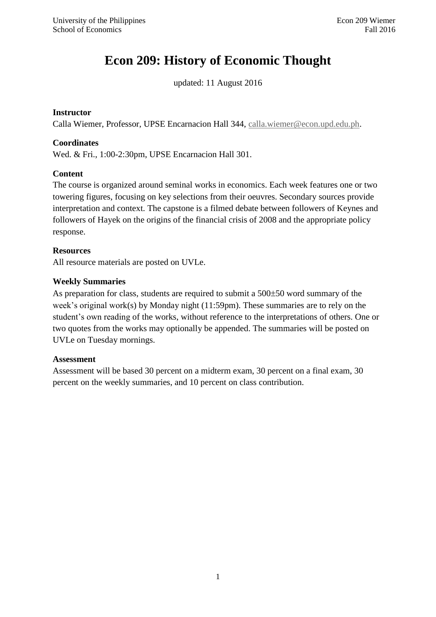# **Econ 209: History of Economic Thought**

updated: 11 August 2016

#### **Instructor**

Calla Wiemer, Professor, UPSE Encarnacion Hall 344, [calla.wiemer@econ.upd.edu.ph.](mailto:calla.wiemer@econ.upd.edu.ph)

#### **Coordinates**

Wed. & Fri., 1:00-2:30pm, UPSE Encarnacion Hall 301.

#### **Content**

The course is organized around seminal works in economics. Each week features one or two towering figures, focusing on key selections from their oeuvres. Secondary sources provide interpretation and context. The capstone is a filmed debate between followers of Keynes and followers of Hayek on the origins of the financial crisis of 2008 and the appropriate policy response.

#### **Resources**

All resource materials are posted on UVLe.

#### **Weekly Summaries**

As preparation for class, students are required to submit a  $500\pm50$  word summary of the week's original work(s) by Monday night (11:59pm). These summaries are to rely on the student's own reading of the works, without reference to the interpretations of others. One or two quotes from the works may optionally be appended. The summaries will be posted on UVLe on Tuesday mornings.

#### **Assessment**

Assessment will be based 30 percent on a midterm exam, 30 percent on a final exam, 30 percent on the weekly summaries, and 10 percent on class contribution.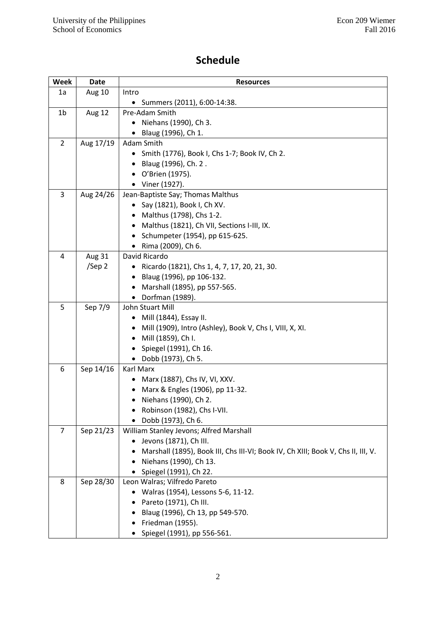# **Schedule**

| Week           | Date      | <b>Resources</b>                                                                 |
|----------------|-----------|----------------------------------------------------------------------------------|
| 1a             | Aug 10    | Intro                                                                            |
|                |           | • Summers (2011), 6:00-14:38.                                                    |
| 1b             | Aug 12    | Pre-Adam Smith                                                                   |
|                |           | Niehans (1990), Ch 3.<br>٠                                                       |
|                |           | Blaug (1996), Ch 1.                                                              |
| $\overline{2}$ | Aug 17/19 | Adam Smith                                                                       |
|                |           | • Smith (1776), Book I, Chs 1-7; Book IV, Ch 2.                                  |
|                |           | • Blaug (1996), Ch. 2.                                                           |
|                |           | • O'Brien (1975).                                                                |
|                |           | • Viner (1927).                                                                  |
| 3              | Aug 24/26 | Jean-Baptiste Say; Thomas Malthus                                                |
|                |           | Say (1821), Book I, Ch XV.                                                       |
|                |           | • Malthus (1798), Chs 1-2.                                                       |
|                |           | • Malthus (1821), Ch VII, Sections I-III, IX.                                    |
|                |           | • Schumpeter (1954), pp 615-625.                                                 |
|                |           | • Rima (2009), Ch 6.                                                             |
| 4              | Aug 31    | David Ricardo                                                                    |
|                | /Sep 2    | Ricardo (1821), Chs 1, 4, 7, 17, 20, 21, 30.                                     |
|                |           | • Blaug (1996), pp 106-132.                                                      |
|                |           | Marshall (1895), pp 557-565.                                                     |
|                |           | Dorfman (1989).                                                                  |
| 5              | Sep 7/9   | John Stuart Mill                                                                 |
|                |           | Mill (1844), Essay II.                                                           |
|                |           | Mill (1909), Intro (Ashley), Book V, Chs I, VIII, X, XI.                         |
|                |           | • Mill (1859), Ch I.                                                             |
|                |           | Spiegel (1991), Ch 16.                                                           |
|                |           | • Dobb (1973), Ch 5.                                                             |
| 6              | Sep 14/16 | Karl Marx                                                                        |
|                |           | Marx (1887), Chs IV, VI, XXV.                                                    |
|                |           | Marx & Engles (1906), pp 11-32.                                                  |
|                |           | • Niehans (1990), Ch 2.                                                          |
|                |           | Robinson (1982), Chs I-VII.                                                      |
|                |           | Dobb (1973), Ch 6.                                                               |
| $\overline{7}$ | Sep 21/23 | William Stanley Jevons; Alfred Marshall                                          |
|                |           | Jevons (1871), Ch III.                                                           |
|                |           | Marshall (1895), Book III, Chs III-VI; Book IV, Ch XIII; Book V, Chs II, III, V. |
|                |           | • Niehans (1990), Ch 13.                                                         |
|                |           | • Spiegel (1991), Ch 22.                                                         |
| 8              | Sep 28/30 | Leon Walras; Vilfredo Pareto                                                     |
|                |           | • Walras (1954), Lessons 5-6, 11-12.                                             |
|                |           | Pareto (1971), Ch III.                                                           |
|                |           | Blaug (1996), Ch 13, pp 549-570.                                                 |
|                |           | $\bullet$ Friedman (1955).                                                       |
|                |           | • Spiegel (1991), pp 556-561.                                                    |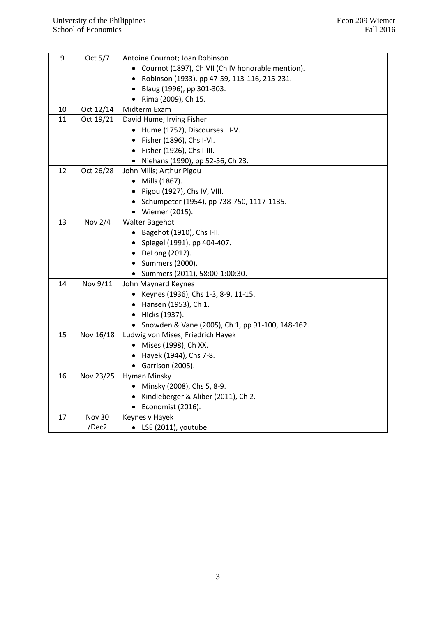| 9  | Oct 5/7       | Antoine Cournot; Joan Robinson                            |
|----|---------------|-----------------------------------------------------------|
|    |               | • Cournot (1897), Ch VII (Ch IV honorable mention).       |
|    |               | Robinson (1933), pp 47-59, 113-116, 215-231.<br>$\bullet$ |
|    |               | Blaug (1996), pp 301-303.<br>$\bullet$                    |
|    |               | • Rima (2009), Ch 15.                                     |
| 10 | Oct 12/14     | Midterm Exam                                              |
| 11 | Oct 19/21     | David Hume; Irving Fisher                                 |
|    |               | • Hume (1752), Discourses III-V.                          |
|    |               | • Fisher (1896), Chs I-VI.                                |
|    |               | • Fisher (1926), Chs I-III.                               |
|    |               | • Niehans (1990), pp 52-56, Ch 23.                        |
| 12 | Oct 26/28     | John Mills; Arthur Pigou                                  |
|    |               | • Mills (1867).                                           |
|    |               | $\bullet$ Pigou (1927), Chs IV, VIII.                     |
|    |               | • Schumpeter (1954), pp 738-750, 1117-1135.               |
|    |               | • Wiemer (2015).                                          |
| 13 | Nov 2/4       | <b>Walter Bagehot</b>                                     |
|    |               | • Bagehot (1910), Chs I-II.                               |
|    |               | • Spiegel (1991), pp 404-407.                             |
|    |               | • DeLong (2012).                                          |
|    |               | • Summers (2000).                                         |
|    |               | • Summers (2011), 58:00-1:00:30.                          |
| 14 | Nov 9/11      | John Maynard Keynes                                       |
|    |               | • Keynes (1936), Chs 1-3, 8-9, 11-15.                     |
|    |               | • Hansen (1953), Ch 1.                                    |
|    |               | • Hicks (1937).                                           |
|    |               | • Snowden & Vane (2005), Ch 1, pp 91-100, 148-162.        |
| 15 | Nov 16/18     | Ludwig von Mises; Friedrich Hayek                         |
|    |               | • Mises (1998), Ch XX.                                    |
|    |               | • Hayek (1944), Chs 7-8.                                  |
|    |               | • Garrison (2005).                                        |
| 16 | Nov 23/25     | Hyman Minsky                                              |
|    |               | • Minsky (2008), Chs 5, 8-9.                              |
|    |               | • Kindleberger & Aliber (2011), Ch 2.                     |
|    |               | $\bullet$ Economist (2016).                               |
| 17 | <b>Nov 30</b> | Keynes v Hayek                                            |
|    | /Dec2         | $\bullet$ LSE (2011), youtube.                            |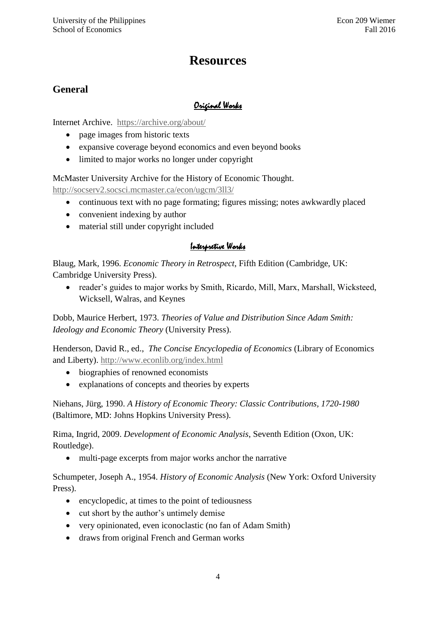# **Resources**

# **General**

# Original Works

Internet Archive. <https://archive.org/about/>

- page images from historic texts
- expansive coverage beyond economics and even beyond books
- limited to major works no longer under copyright

McMaster University Archive for the History of Economic Thought.

<http://socserv2.socsci.mcmaster.ca/econ/ugcm/3ll3/>

- continuous text with no page formating; figures missing; notes awkwardly placed
- convenient indexing by author
- material still under copyright included

### Interpretive Works

Blaug, Mark, 1996. *Economic Theory in Retrospect*, Fifth Edition (Cambridge, UK: Cambridge University Press).

 reader's guides to major works by Smith, Ricardo, Mill, Marx, Marshall, Wicksteed, Wicksell, Walras, and Keynes

Dobb, Maurice Herbert, 1973. *Theories of Value and Distribution Since Adam Smith: Ideology and Economic Theory* (University Press).

Henderson, David R., ed., *The Concise Encyclopedia of Economics* (Library of Economics and Liberty).<http://www.econlib.org/index.html>

- biographies of renowned economists
- explanations of concepts and theories by experts

Niehans, Jürg, 1990. *A History of Economic Theory: Classic Contributions, 1720-1980* (Baltimore, MD: Johns Hopkins University Press).

Rima, Ingrid, 2009. *Development of Economic Analysis*, Seventh Edition (Oxon, UK: Routledge).

multi-page excerpts from major works anchor the narrative

Schumpeter, Joseph A., 1954. *History of Economic Analysis* (New York: Oxford University Press).

- encyclopedic, at times to the point of tediousness
- cut short by the author's untimely demise
- very opinionated, even iconoclastic (no fan of Adam Smith)
- draws from original French and German works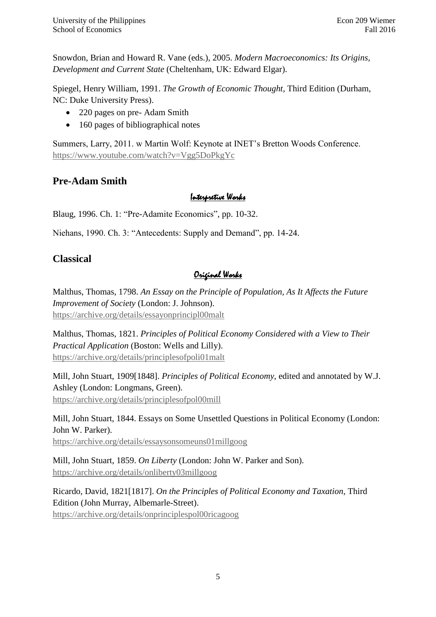Snowdon, Brian and Howard R. Vane (eds.), 2005. *Modern Macroeconomics: Its Origins, Development and Current State* (Cheltenham, UK: Edward Elgar).

Spiegel, Henry William, 1991. *The Growth of Economic Thought*, Third Edition (Durham, NC: Duke University Press).

- 220 pages on pre- Adam Smith
- 160 pages of bibliographical notes

Summers, Larry, 2011. w Martin Wolf: Keynote at INET's Bretton Woods Conference. <https://www.youtube.com/watch?v=Vgg5DoPkgYc>

# **Pre-Adam Smith**

# Interpretive Works

Blaug, 1996. Ch. 1: "Pre-Adamite Economics", pp. 10-32.

Niehans, 1990. Ch. 3: "Antecedents: Supply and Demand", pp. 14-24.

# **Classical**

# Original Works

Malthus, Thomas, 1798. *An Essay on the Principle of Population, As It Affects the Future Improvement of Society* (London: J. Johnson). <https://archive.org/details/essayonprincipl00malt>

Malthus, Thomas, 1821. *Principles of Political Economy Considered with a View to Their Practical Application* (Boston: Wells and Lilly). <https://archive.org/details/principlesofpoli01malt>

Mill, John Stuart, 1909[1848]. *Principles of Political Economy*, edited and annotated by W.J. Ashley (London: Longmans, Green). <https://archive.org/details/principlesofpol00mill>

Mill, John Stuart, 1844. Essays on Some Unsettled Questions in Political Economy (London: John W. Parker).

<https://archive.org/details/essaysonsomeuns01millgoog>

Mill, John Stuart, 1859. *On Liberty* (London: John W. Parker and Son). <https://archive.org/details/onliberty03millgoog>

Ricardo, David, 1821[1817]. *On the Principles of Political Economy and Taxation*, Third Edition (John Murray, Albemarle-Street). <https://archive.org/details/onprinciplespol00ricagoog>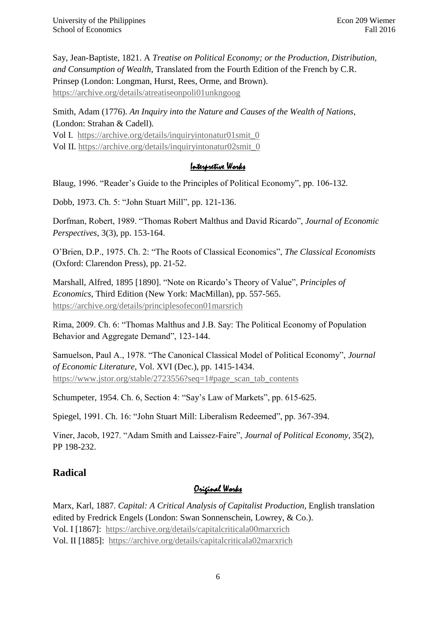Say, Jean-Baptiste, 1821. A *Treatise on Political Economy; or the Production, Distribution, and Consumption of Wealth*, Translated from the Fourth Edition of the French by C.R. Prinsep (London: Longman, Hurst, Rees, Orme, and Brown). <https://archive.org/details/atreatiseonpoli01unkngoog>

Smith, Adam (1776). *An Inquiry into the Nature and Causes of the Wealth of Nations*, (London: Strahan & Cadell). Vol I. [https://archive.org/details/inquiryintonatur01smit\\_0](https://archive.org/details/inquiryintonatur01smit_0) Vol II. [https://archive.org/details/inquiryintonatur02smit\\_0](https://archive.org/details/inquiryintonatur02smit_0)

#### Interpretive Works

Blaug, 1996. "Reader's Guide to the Principles of Political Economy", pp. 106-132.

Dobb, 1973. Ch. 5: "John Stuart Mill", pp. 121-136.

Dorfman, Robert, 1989. "Thomas Robert Malthus and David Ricardo", *Journal of Economic Perspectives*, 3(3), pp. 153-164.

O'Brien, D.P., 1975. Ch. 2: "The Roots of Classical Economics", *The Classical Economists* (Oxford: Clarendon Press), pp. 21-52.

Marshall, Alfred, 1895 [1890]. "Note on Ricardo's Theory of Value", *Principles of Economics*, Third Edition (New York: MacMillan), pp. 557-565. <https://archive.org/details/principlesofecon01marsrich>

Rima, 2009. Ch. 6: "Thomas Malthus and J.B. Say: The Political Economy of Population Behavior and Aggregate Demand", 123-144.

Samuelson, Paul A., 1978. "The Canonical Classical Model of Political Economy", *Journal of Economic Literature*, Vol. XVI (Dec.), pp. 1415-1434. [https://www.jstor.org/stable/2723556?seq=1#page\\_scan\\_tab\\_contents](https://www.jstor.org/stable/2723556?seq=1#page_scan_tab_contents)

Schumpeter, 1954. Ch. 6, Section 4: "Say's Law of Markets", pp. 615-625.

Spiegel, 1991. Ch. 16: "John Stuart Mill: Liberalism Redeemed", pp. 367-394.

Viner, Jacob, 1927. "Adam Smith and Laissez-Faire", *Journal of Political Economy*, 35(2), PP 198-232.

### **Radical**

# Original Works

Marx, Karl, 1887. *Capital: A Critical Analysis of Capitalist Production*, English translation edited by Fredrick Engels (London: Swan Sonnenschein, Lowrey, & Co.). Vol. I [1867]: <https://archive.org/details/capitalcriticala00marxrich> Vol. II [1885]: <https://archive.org/details/capitalcriticala02marxrich>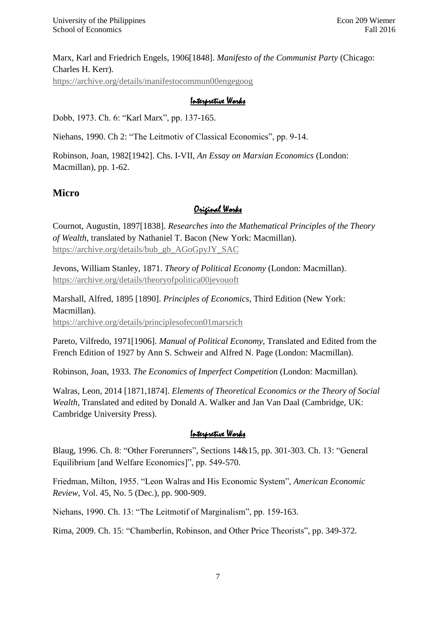Marx, Karl and Friedrich Engels, 1906[1848]. *Manifesto of the Communist Party* (Chicago: Charles H. Kerr). <https://archive.org/details/manifestocommun00engegoog>

#### Interpretive Works

Dobb, 1973. Ch. 6: "Karl Marx", pp. 137-165.

Niehans, 1990. Ch 2: "The Leitmotiv of Classical Economics", pp. 9-14.

Robinson, Joan, 1982[1942]. Chs. I-VII, *An Essay on Marxian Economics* (London: Macmillan), pp. 1-62.

### **Micro**

### Original Works

Cournot, Augustin, 1897[1838]. *Researches into the Mathematical Principles of the Theory of Wealth*, translated by Nathaniel T. Bacon (New York: Macmillan). [https://archive.org/details/bub\\_gb\\_AGoGpyJY\\_SAC](https://archive.org/details/bub_gb_AGoGpyJY_SAC)

Jevons, William Stanley, 1871. *Theory of Political Economy* (London: Macmillan). <https://archive.org/details/theoryofpolitica00jevouoft>

Marshall, Alfred, 1895 [1890]. *Principles of Economics*, Third Edition (New York: Macmillan). <https://archive.org/details/principlesofecon01marsrich>

Pareto, Vilfredo, 1971[1906]. *Manual of Political Economy*, Translated and Edited from the French Edition of 1927 by Ann S. Schweir and Alfred N. Page (London: Macmillan).

Robinson, Joan, 1933. *The Economics of Imperfect Competition* (London: Macmillan).

Walras, Leon, 2014 [1871,1874]. *Elements of Theoretical Economics or the Theory of Social Wealth*, Translated and edited by Donald A. Walker and Jan Van Daal (Cambridge, UK: Cambridge University Press).

#### Interpretive Works

Blaug, 1996. Ch. 8: "Other Forerunners", Sections 14&15, pp. 301-303. Ch. 13: "General Equilibrium [and Welfare Economics]", pp. 549-570.

Friedman, Milton, 1955. "Leon Walras and His Economic System", *American Economic Review*, Vol. 45, No. 5 (Dec.), pp. 900-909.

Niehans, 1990. Ch. 13: "The Leitmotif of Marginalism", pp. 159-163.

Rima, 2009. Ch. 15: "Chamberlin, Robinson, and Other Price Theorists", pp. 349-372.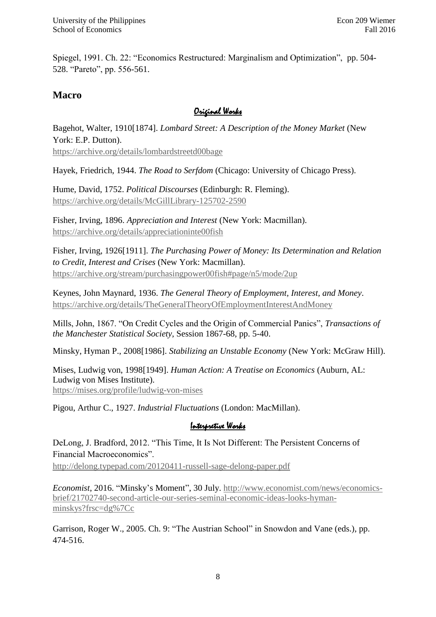Spiegel, 1991. Ch. 22: "Economics Restructured: Marginalism and Optimization", pp. 504- 528. "Pareto", pp. 556-561.

### **Macro**

### Original Works

Bagehot, Walter, 1910[1874]. *Lombard Street: A Description of the Money Market* (New York: E.P. Dutton). <https://archive.org/details/lombardstreetd00bage>

Hayek, Friedrich, 1944. *The Road to Serfdom* (Chicago: University of Chicago Press).

Hume, David, 1752. *Political Discourses* (Edinburgh: R. Fleming). <https://archive.org/details/McGillLibrary-125702-2590>

Fisher, Irving, 1896. *Appreciation and Interest* (New York: Macmillan). <https://archive.org/details/appreciationinte00fish>

Fisher, Irving, 1926[1911]. *The Purchasing Power of Money: Its Determination and Relation to Credit, Interest and Crises* (New York: Macmillan). <https://archive.org/stream/purchasingpower00fish#page/n5/mode/2up>

Keynes, John Maynard, 1936. *The General Theory of Employment, Interest, and Money*. <https://archive.org/details/TheGeneralTheoryOfEmploymentInterestAndMoney>

Mills, John, 1867. "On Credit Cycles and the Origin of Commercial Panics", *Transactions of the Manchester Statistical Society*, Session 1867-68, pp. 5-40.

Minsky, Hyman P., 2008[1986]. *Stabilizing an Unstable Economy* (New York: McGraw Hill).

Mises, Ludwig von, 1998[1949]. *Human Action: A Treatise on Economics* (Auburn, AL: Ludwig von Mises Institute). <https://mises.org/profile/ludwig-von-mises>

Pigou, Arthur C., 1927. *Industrial Fluctuations* (London: MacMillan).

### Interpretive Works

DeLong, J. Bradford, 2012. "This Time, It Is Not Different: The Persistent Concerns of Financial Macroeconomics".

<http://delong.typepad.com/20120411-russell-sage-delong-paper.pdf>

*Economist*, 2016. "Minsky's Moment", 30 July. [http://www.economist.com/news/economics](http://www.economist.com/news/economics-brief/21702740-second-article-our-series-seminal-economic-ideas-looks-hyman-minskys?frsc=dg%7Cc)[brief/21702740-second-article-our-series-seminal-economic-ideas-looks-hyman](http://www.economist.com/news/economics-brief/21702740-second-article-our-series-seminal-economic-ideas-looks-hyman-minskys?frsc=dg%7Cc)[minskys?frsc=dg%7Cc](http://www.economist.com/news/economics-brief/21702740-second-article-our-series-seminal-economic-ideas-looks-hyman-minskys?frsc=dg%7Cc)

Garrison, Roger W., 2005. Ch. 9: "The Austrian School" in Snowdon and Vane (eds.), pp. 474-516.